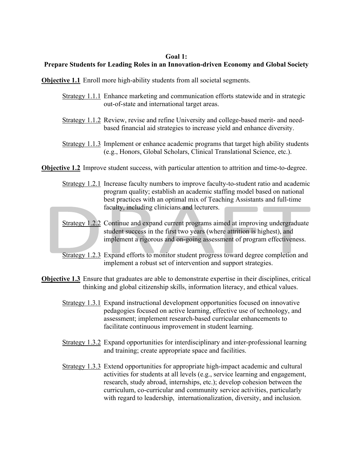#### **Goal 1:**

#### **Prepare Students for Leading Roles in an Innovation-driven Economy and Global Society**

**Objective 1.1** Enroll more high-ability students from all societal segments.

- Strategy 1.1.1 Enhance marketing and communication efforts statewide and in strategic out-of-state and international target areas.
- Strategy 1.1.2 Review, revise and refine University and college-based merit- and needbased financial aid strategies to increase yield and enhance diversity.
- Strategy 1.1.3 Implement or enhance academic programs that target high ability students (e.g., Honors, Global Scholars, Clinical Translational Science, etc.).

**Objective 1.2** Improve student success, with particular attention to attrition and time-to-degree.

- Strategy 1.2.1 Increase faculty numbers to improve faculty-to-student ratio and academic program quality; establish an academic staffing model based on national best practices with an optimal mix of Teaching Assistants and full-time faculty, including clinicians and lecturers.
- Strategy 1.2.2 Continue and expand current programs aimed at improving undergraduate student success in the first two years (where attrition is highest), and implement a rigorous and on-going assessment of program effectiveness.
- Strategy 1.2.3 Expand efforts to monitor student progress toward degree completion and implement a robust set of intervention and support strategies.
- **Objective 1.3** Ensure that graduates are able to demonstrate expertise in their disciplines, critical thinking and global citizenship skills, information literacy, and ethical values.
	- Strategy 1.3.1 Expand instructional development opportunities focused on innovative pedagogies focused on active learning, effective use of technology, and assessment; implement research-based curricular enhancements to facilitate continuous improvement in student learning.
	- Strategy 1.3.2 Expand opportunities for interdisciplinary and inter-professional learning and training; create appropriate space and facilities.
	- Strategy 1.3.3 Extend opportunities for appropriate high-impact academic and cultural activities for students at all levels (e.g., service learning and engagement, research, study abroad, internships, etc.); develop cohesion between the curriculum, co-curricular and community service activities, particularly with regard to leadership, internationalization, diversity, and inclusion.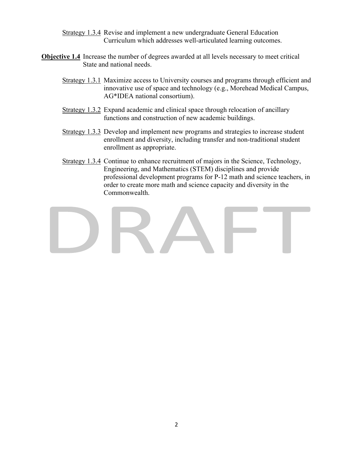- Strategy 1.3.4 Revise and implement a new undergraduate General Education Curriculum which addresses well-articulated learning outcomes.
- **Objective 1.4** Increase the number of degrees awarded at all levels necessary to meet critical State and national needs.
	- Strategy 1.3.1 Maximize access to University courses and programs through efficient and innovative use of space and technology (e.g., Morehead Medical Campus, AG\*IDEA national consortium).
	- Strategy 1.3.2 Expand academic and clinical space through relocation of ancillary functions and construction of new academic buildings.
	- Strategy 1.3.3 Develop and implement new programs and strategies to increase student enrollment and diversity, including transfer and non-traditional student enrollment as appropriate.
	- Strategy 1.3.4 Continue to enhance recruitment of majors in the Science, Technology, Engineering, and Mathematics (STEM) disciplines and provide professional development programs for P-12 math and science teachers, in order to create more math and science capacity and diversity in the Commonwealth.

#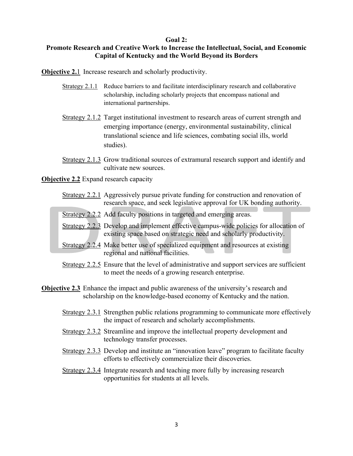#### **Goal 2:**

#### **Promote Research and Creative Work to Increase the Intellectual, Social, and Economic Capital of Kentucky and the World Beyond its Borders**

**Objective 2.1** Increase research and scholarly productivity.

- Strategy 2.1.1 Reduce barriers to and facilitate interdisciplinary research and collaborative scholarship, including scholarly projects that encompass national and international partnerships.
- Strategy 2.1.2 Target institutional investment to research areas of current strength and emerging importance (energy, environmental sustainability, clinical translational science and life sciences, combating social ills, world studies).
- Strategy 2.1.3 Grow traditional sources of extramural research support and identify and cultivate new sources.

#### **Objective 2.2** Expand research capacity

- Strategy 2.2.1 Aggressively pursue private funding for construction and renovation of research space, and seek legislative approval for UK bonding authority.
- Strategy 2.2.2 Add faculty positions in targeted and emerging areas.
- Strategy 2.2.3 Develop and implement effective campus-wide policies for allocation of existing space based on strategic need and scholarly productivity.
- Strategy 2.2.4 Make better use of specialized equipment and resources at existing regional and national facilities.
- Strategy 2.2.5 Ensure that the level of administrative and support services are sufficient to meet the needs of a growing research enterprise.
- **Objective 2.3** Enhance the impact and public awareness of the university's research and scholarship on the knowledge-based economy of Kentucky and the nation.
	- Strategy 2.3.1 Strengthen public relations programming to communicate more effectively the impact of research and scholarly accomplishments.
	- Strategy 2.3.2 Streamline and improve the intellectual property development and technology transfer processes.
	- Strategy 2.3.3 Develop and institute an "innovation leave" program to facilitate faculty efforts to effectively commercialize their discoveries.
	- Strategy 2.3.4 Integrate research and teaching more fully by increasing research opportunities for students at all levels.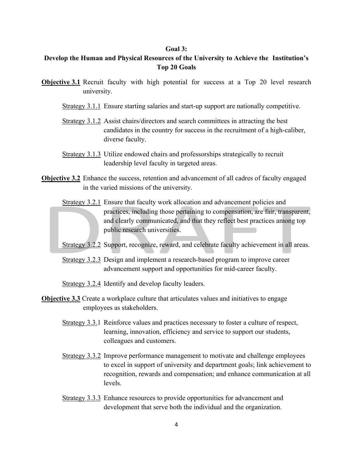#### **Goal 3:**

#### **Develop the Human and Physical Resources of the University to Achieve the Institution's Top 20 Goals**

- **Objective 3.1** Recruit faculty with high potential for success at a Top 20 level research university.
	- Strategy 3.1.1 Ensure starting salaries and start-up support are nationally competitive.
	- Strategy 3.1.2 Assist chairs/directors and search committees in attracting the best candidates in the country for success in the recruitment of a high-caliber, diverse faculty.
	- Strategy 3.1.3 Utilize endowed chairs and professorships strategically to recruit leadership level faculty in targeted areas.
- **Objective 3.2** Enhance the success, retention and advancement of all cadres of faculty engaged in the varied missions of the university.
	- Strategy 3.2.1 Ensure that faculty work allocation and advancement policies and practices, including those pertaining to compensation, are fair, transparent, and clearly communicated, and that they reflect best practices among top public research universities.
	- Strategy 3.2.2 Support, recognize, reward, and celebrate faculty achievement in all areas.
	- Strategy 3.2.3 Design and implement a research-based program to improve career advancement support and opportunities for mid-career faculty.

Strategy 3.2.4 Identify and develop faculty leaders.

- **Objective 3.3** Create a workplace culture that articulates values and initiatives to engage employees as stakeholders.
	- Strategy 3.3.1 Reinforce values and practices necessary to foster a culture of respect, learning, innovation, efficiency and service to support our students, colleagues and customers.
	- Strategy 3.3.2 Improve performance management to motivate and challenge employees to excel in support of university and department goals; link achievement to recognition, rewards and compensation; and enhance communication at all levels.
	- Strategy 3.3.3 Enhance resources to provide opportunities for advancement and development that serve both the individual and the organization.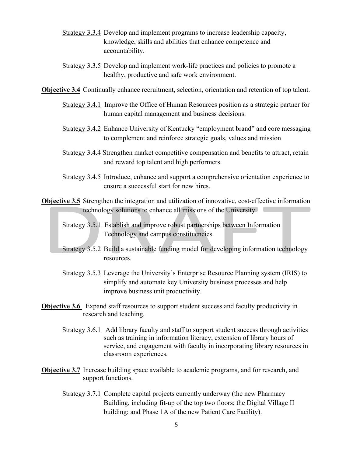- Strategy 3.3.4 Develop and implement programs to increase leadership capacity, knowledge, skills and abilities that enhance competence and accountability.
- Strategy 3.3.5 Develop and implement work-life practices and policies to promote a healthy, productive and safe work environment.
- **Objective 3.4** Continually enhance recruitment, selection, orientation and retention of top talent.
	- Strategy 3.4.1 Improve the Office of Human Resources position as a strategic partner for human capital management and business decisions.
	- Strategy 3.4.2 Enhance University of Kentucky "employment brand" and core messaging to complement and reinforce strategic goals, values and mission
	- Strategy 3.4.4 Strengthen market competitive compensation and benefits to attract, retain and reward top talent and high performers.
	- Strategy 3.4.5 Introduce, enhance and support a comprehensive orientation experience to ensure a successful start for new hires.
- **Objective 3.5** Strengthen the integration and utilization of innovative, cost-effective information technology solutions to enhance all missions of the University.
	- Strategy 3.5.1 Establish and improve robust partnerships between Information Technology and campus constituencies
	- Strategy 3.5.2 Build a sustainable funding model for developing information technology resources.
	- Strategy 3.5.3 Leverage the University's Enterprise Resource Planning system (IRIS) to simplify and automate key University business processes and help improve business unit productivity.
- **Objective 3.6** Expand staff resources to support student success and faculty productivity in research and teaching.
	- Strategy 3.6.1 Add library faculty and staff to support student success through activities such as training in information literacy, extension of library hours of service, and engagement with faculty in incorporating library resources in classroom experiences.
- **Objective 3.7** Increase building space available to academic programs, and for research, and support functions.
	- Strategy 3.7.1 Complete capital projects currently underway (the new Pharmacy Building, including fit-up of the top two floors; the Digital Village II building; and Phase 1A of the new Patient Care Facility).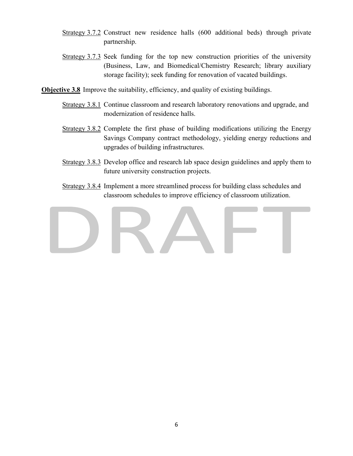- Strategy 3.7.2 Construct new residence halls (600 additional beds) through private partnership.
- Strategy 3.7.3 Seek funding for the top new construction priorities of the university (Business, Law, and Biomedical/Chemistry Research; library auxiliary storage facility); seek funding for renovation of vacated buildings.

**Objective 3.8** Improve the suitability, efficiency, and quality of existing buildings.

- Strategy 3.8.1 Continue classroom and research laboratory renovations and upgrade, and modernization of residence halls.
- Strategy 3.8.2 Complete the first phase of building modifications utilizing the Energy Savings Company contract methodology, yielding energy reductions and upgrades of building infrastructures.
- Strategy 3.8.3 Develop office and research lab space design guidelines and apply them to future university construction projects.
- Strategy 3.8.4 Implement a more streamlined process for building class schedules and classroom schedules to improve efficiency of classroom utilization.

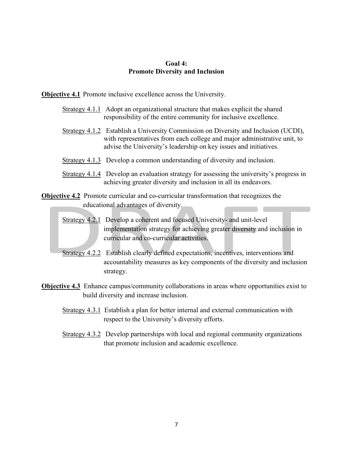#### **Goal 4: Promote Diversity and Inclusion**

**Objective 4.1** Promote inclusive excellence across the University.

- Strategy 4.1.1 Adopt an organizational structure that makes explicit the shared responsibility of the entire community for inclusive excellence.
- Strategy 4.1.2 Establish a University Commission on Diversity and Inclusion (UCDI), with representatives from each college and major administrative unit, to advise the University's leadership on key issues and initiatives.
- Strategy 4.1.3 Develop a common understanding of diversity and inclusion.
- Strategy 4.1.4 Develop an evaluation strategy for assessing the university's progress in achieving greater diversity and inclusion in all its endeavors.
- **Objective 4.2** Promote curricular and co-curricular transformation that recognizes the educational advantages of diversity.
	- Strategy 4.2.1 Develop a coherent and focused University- and unit-level implementation strategy for achieving greater diversity and inclusion in curricular and co-curricular activities.
	- Strategy 4.2.2 Establish clearly defined expectations, incentives, interventions and accountability measures as key components of the diversity and inclusion strategy.
- **Objective 4.3** Enhance campus/community collaborations in areas where opportunities exist to build diversity and increase inclusion.
	- Strategy 4.3.1 Establish a plan for better internal and external communication with respect to the University's diversity efforts.
	- Strategy 4.3.2 Develop partnerships with local and regional community organizations that promote inclusion and academic excellence.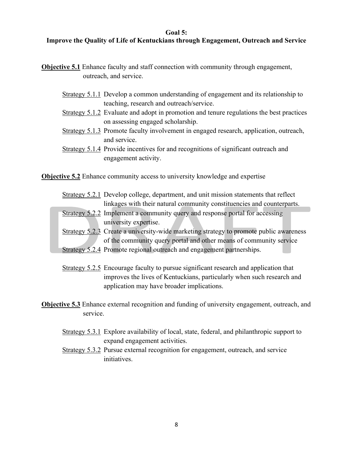**Goal 5:** 

#### **Improve the Quality of Life of Kentuckians through Engagement, Outreach and Service**

- **Objective 5.1** Enhance faculty and staff connection with community through engagement, outreach, and service.
	- Strategy 5.1.1 Develop a common understanding of engagement and its relationship to teaching, research and outreach/service.
	- Strategy 5.1.2 Evaluate and adopt in promotion and tenure regulations the best practices on assessing engaged scholarship.
	- Strategy 5.1.3 Promote faculty involvement in engaged research, application, outreach, and service.
	- Strategy 5.1.4 Provide incentives for and recognitions of significant outreach and engagement activity.

**Objective 5.2** Enhance community access to university knowledge and expertise

- Strategy 5.2.1 Develop college, department, and unit mission statements that reflect linkages with their natural community constituencies and counterparts.
- Strategy 5.2.2 Implement a community query and response portal for accessing university expertise.
- Strategy 5.2.3 Create a university-wide marketing strategy to promote public awareness of the community query portal and other means of community service
- Strategy 5.2.4 Promote regional outreach and engagement partnerships.
- Strategy 5.2.5 Encourage faculty to pursue significant research and application that improves the lives of Kentuckians, particularly when such research and application may have broader implications.
- **Objective 5.3** Enhance external recognition and funding of university engagement, outreach, and service.
	- Strategy 5.3.1 Explore availability of local, state, federal, and philanthropic support to expand engagement activities.
	- Strategy 5.3.2 Pursue external recognition for engagement, outreach, and service initiatives.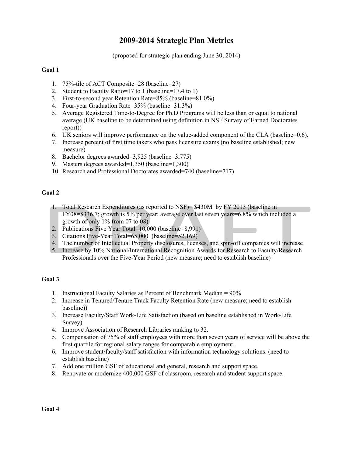#### **2009-2014 Strategic Plan Metrics**

(proposed for strategic plan ending June 30, 2014)

#### **Goal 1**

- 1. 75%-tile of ACT Composite=28 (baseline=27)
- 2. Student to Faculty Ratio=17 to 1 (baseline=17.4 to 1)
- 3. First-to-second year Retention Rate=85% (baseline=81.0%)
- 4. Four-year Graduation Rate=35% (baseline=31.3%)
- 5. Average Registered Time-to-Degree for Ph.D Programs will be less than or equal to national average (UK baseline to be determined using definition in NSF Survey of Earned Doctorates report))
- 6. UK seniors will improve performance on the value-added component of the CLA (baseline=0.6).
- 7. Increase percent of first time takers who pass licensure exams (no baseline established; new measure)
- 8. Bachelor degrees awarded=3,925 (baseline=3,775)
- 9. Masters degrees awarded=1,350 (baseline=1,300)
- 10. Research and Professional Doctorates awarded=740 (baseline=717)

#### **Goal 2**

- 1. Total Research Expenditures (as reported to NSF)= \$430M by FY 2013 (baseline in FY08=\$336.7; growth is 5% per year; average over last seven years=6.8% which included a growth of only 1% from 07 to 08)
- 2. Publications Five Year Total=10,000 (baseline=8,991)
- 3. Citations Five-Year Total=65,000 (baseline=52,169)
- 4. The number of Intellectual Property disclosures, licenses, and spin-off companies will increase
- 5. Increase by 10% National/International Recognition Awards for Research to Faculty/Research Professionals over the Five-Year Period (new measure; need to establish baseline)

#### **Goal 3**

- 1. Instructional Faculty Salaries as Percent of Benchmark Median = 90%
- 2. Increase in Tenured/Tenure Track Faculty Retention Rate (new measure; need to establish baseline))
- 3. Increase Faculty/Staff Work-Life Satisfaction (based on baseline established in Work-Life Survey)
- 4. Improve Association of Research Libraries ranking to 32.
- 5. Compensation of 75% of staff employees with more than seven years of service will be above the first quartile for regional salary ranges for comparable employment.
- 6. Improve student/faculty/staff satisfaction with information technology solutions. (need to establish baseline)
- 7. Add one million GSF of educational and general, research and support space.
- 8. Renovate or modernize 400,000 GSF of classroom, research and student support space.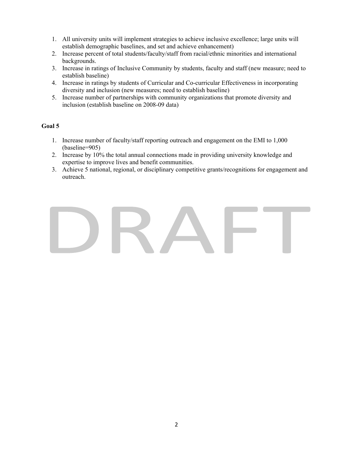- 1. All university units will implement strategies to achieve inclusive excellence; large units will establish demographic baselines, and set and achieve enhancement)
- 2. Increase percent of total students/faculty/staff from racial/ethnic minorities and international backgrounds.
- 3. Increase in ratings of Inclusive Community by students, faculty and staff (new measure; need to establish baseline)
- 4. Increase in ratings by students of Curricular and Co-curricular Effectiveness in incorporating diversity and inclusion (new measures; need to establish baseline)
- 5. Increase number of partnerships with community organizations that promote diversity and inclusion (establish baseline on 2008-09 data)

#### **Goal 5**

- 1. Increase number of faculty/staff reporting outreach and engagement on the EMI to 1,000 (baseline=905)
- 2. Increase by 10% the total annual connections made in providing university knowledge and expertise to improve lives and benefit communities.
- 3. Achieve 5 national, regional, or disciplinary competitive grants/recognitions for engagement and outreach.